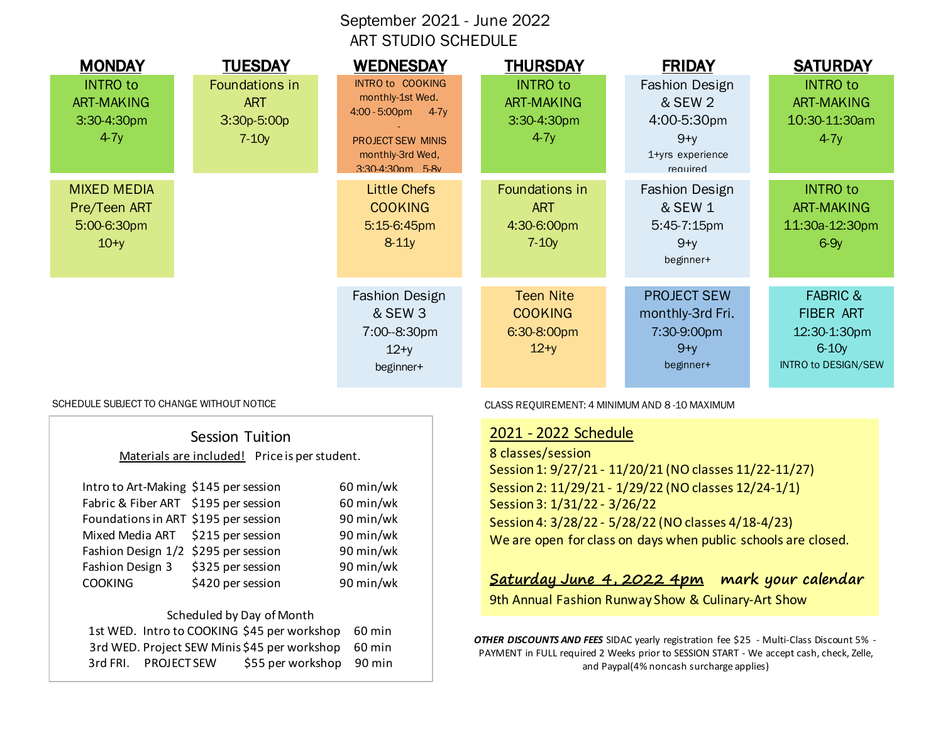# September 2021 - June 2022 ART STUDIO SCHEDULE

| <b>MONDAY</b><br><b>INTRO to</b><br><b>ART-MAKING</b><br>3:30-4:30pm<br>$4-7y$ | <b>TUESDAY</b><br>Foundations in<br><b>ART</b><br>$3:30p-5:00p$<br>$7-10y$ | <b>WEDNESDAY</b><br><b>INTRO to COOKING</b><br>monthly-1st Wed.<br>$4:00 - 5:00 \text{pm}$<br>$4-7y$<br><b>PROJECT SEW MINIS</b><br>monthly-3rd Wed,<br>3:30-4:30nm 5-8v | <b>THURSDAY</b><br><b>INTRO to</b><br><b>ART-MAKING</b><br>3:30-4:30pm<br>$4-7y$ | <b>FRIDAY</b><br><b>Fashion Design</b><br>& SEW 2<br>4:00-5:30pm<br>$9 + y$<br>1+yrs experience<br>heniuner | <b>SATURDAY</b><br><b>INTRO to</b><br><b>ART-MAKING</b><br>10:30-11:30am<br>$4-7y$        |
|--------------------------------------------------------------------------------|----------------------------------------------------------------------------|--------------------------------------------------------------------------------------------------------------------------------------------------------------------------|----------------------------------------------------------------------------------|-------------------------------------------------------------------------------------------------------------|-------------------------------------------------------------------------------------------|
| <b>MIXED MEDIA</b><br>Pre/Teen ART<br>5:00-6:30pm<br>$10+y$                    |                                                                            | <b>Little Chefs</b><br><b>COOKING</b><br>5:15-6:45pm<br>$8-11y$                                                                                                          | Foundations in<br><b>ART</b><br>4:30-6:00pm<br>$7-10y$                           | <b>Fashion Design</b><br>& SEW 1<br>$5:45-7:15$ pm<br>$9+y$<br>beginner+                                    | <b>INTRO to</b><br><b>ART-MAKING</b><br>11:30a-12:30pm<br>$6-9y$                          |
|                                                                                |                                                                            | <b>Fashion Design</b><br>& SEW 3<br>7:00--8:30pm<br>$12+y$<br>beginner+                                                                                                  | <b>Teen Nite</b><br><b>COOKING</b><br>6:30-8:00pm<br>$12+y$                      | <b>PROJECT SEW</b><br>monthly-3rd Fri.<br>7:30-9:00pm<br>$9+y$<br>beginner+                                 | <b>FABRIC &amp;</b><br><b>FIBER ART</b><br>12:30-1:30pm<br>$6-10y$<br>INTRO to DESIGN/SEW |

|                                       | Session Tuition                               |           |
|---------------------------------------|-----------------------------------------------|-----------|
|                                       | Materials are included! Price is per student. |           |
| Intro to Art-Making \$145 per session |                                               | 60 min/wk |
| Fabric & Fiber ART \$195 per session  |                                               | 60 min/wk |
| Foundations in ART \$195 per session  |                                               | 90 min/wk |
| Mixed Media ART \$215 per session     |                                               | 90 min/wk |
| Fashion Design 1/2 \$295 per session  |                                               | 90 min/wk |
| Fashion Design 3                      | \$325 per session                             | 90 min/wk |
| <b>COOKING</b>                        | \$420 per session                             | 90 min/wk |
|                                       |                                               |           |

#### Scheduled by Day of Month

|                      | 1st WED. Intro to COOKING \$45 per workshop 60 min  |  |
|----------------------|-----------------------------------------------------|--|
|                      | 3rd WED. Project SEW Minis \$45 per workshop 60 min |  |
| 3rd FRI. PROJECT SEW | \$55 per workshop 90 min                            |  |

SCHEDULE SUBJECT TO CHANGE WITHOUT NOTICE THE CLASS REQUIREMENT: 4 MINIMUM AND 8-10 MAXIMUM

### 2021 - 2022 Schedule

8 classes/session Session 1: 9/27/21 - 11/20/21 (NO classes 11/22-11/27) Session 2: 11/29/21 - 1/29/22 (NO classes 12/24-1/1) Session 3: 1/31/22 - 3/26/22 Session 4: 3/28/22 - 5/28/22 (NO classes 4/18-4/23) We are open for class on days when public schools are closed.

## **Saturday June 4, 2022 4pm mark your calendar**

9th Annual Fashion Runway Show & Culinary-Art Show

*OTHER DISCOUNTS AND FEES* SIDAC yearly registration fee \$25 - Multi-Class Discount 5% - PAYMENT in FULL required 2 Weeks prior to SESSION START - We accept cash, check, Zelle, and Paypal(4% noncash surcharge applies)